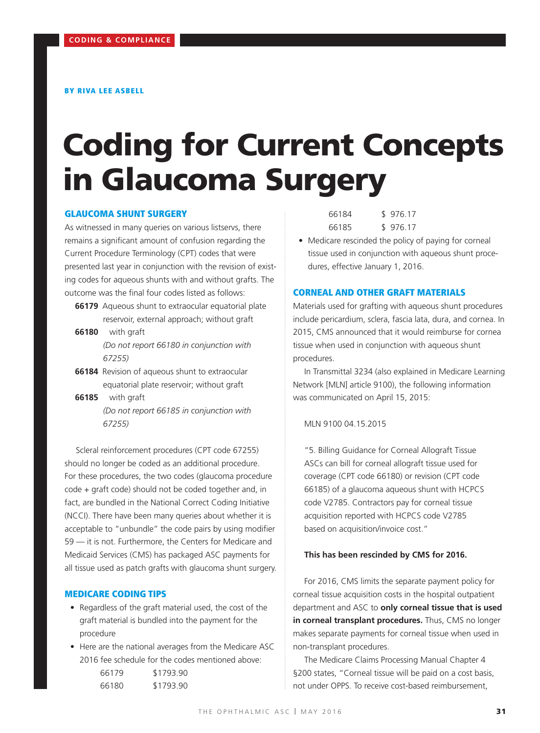# Coding for Current Concepts in Glaucoma Surgery

#### GLAUCOMA SHUNT SURGERY

As witnessed in many queries on various listservs, there remains a significant amount of confusion regarding the Current Procedure Terminology (CPT) codes that were presented last year in conjunction with the revision of existing codes for aqueous shunts with and without grafts. The outcome was the final four codes listed as follows:

- **66179** Aqueous shunt to extraocular equatorial plate reservoir, external approach; without graft
- **66180** with graft *(Do not report 66180 in conjunction with 67255)*
- **66184** Revision of aqueous shunt to extraocular equatorial plate reservoir; without graft
- **66185** with graft *(Do not report 66185 in conjunction with 67255)*

Scleral reinforcement procedures (CPT code 67255) should no longer be coded as an additional procedure. For these procedures, the two codes (glaucoma procedure code + graft code) should not be coded together and, in fact, are bundled in the National Correct Coding Initiative (NCCI). There have been many queries about whether it is acceptable to "unbundle" the code pairs by using modifier 59 — it is not. Furthermore, the Centers for Medicare and Medicaid Services (CMS) has packaged ASC payments for all tissue used as patch grafts with glaucoma shunt surgery.

#### MEDICARE CODING TIPS

- Regardless of the graft material used, the cost of the graft material is bundled into the payment for the procedure
- Here are the national averages from the Medicare ASC 2016 fee schedule for the codes mentioned above:

| 66179 | \$1793.90 |
|-------|-----------|
| 66180 | \$1793.90 |

| 66184 | \$976.17 |
|-------|----------|
| 66185 | \$976.17 |

• Medicare rescinded the policy of paying for corneal tissue used in conjunction with aqueous shunt procedures, effective January 1, 2016.

# CORNEAL AND OTHER GRAFT MATERIALS

Materials used for grafting with aqueous shunt procedures include pericardium, sclera, fascia lata, dura, and cornea. In 2015, CMS announced that it would reimburse for cornea tissue when used in conjunction with aqueous shunt procedures.

In Transmittal 3234 (also explained in Medicare Learning Network [MLN] article 9100), the following information was communicated on April 15, 2015:

MLN 9100 04.15.2015

"5. Billing Guidance for Corneal Allograft Tissue ASCs can bill for corneal allograft tissue used for coverage (CPT code 66180) or revision (CPT code 66185) of a glaucoma aqueous shunt with HCPCS code V2785. Contractors pay for corneal tissue acquisition reported with HCPCS code V2785 based on acquisition/invoice cost."

#### **This has been rescinded by CMS for 2016.**

For 2016, CMS limits the separate payment policy for corneal tissue acquisition costs in the hospital outpatient department and ASC to **only corneal tissue that is used in corneal transplant procedures.** Thus, CMS no longer makes separate payments for corneal tissue when used in non-transplant procedures.

The Medicare Claims Processing Manual Chapter 4 §200 states, "Corneal tissue will be paid on a cost basis, not under OPPS. To receive cost-based reimbursement,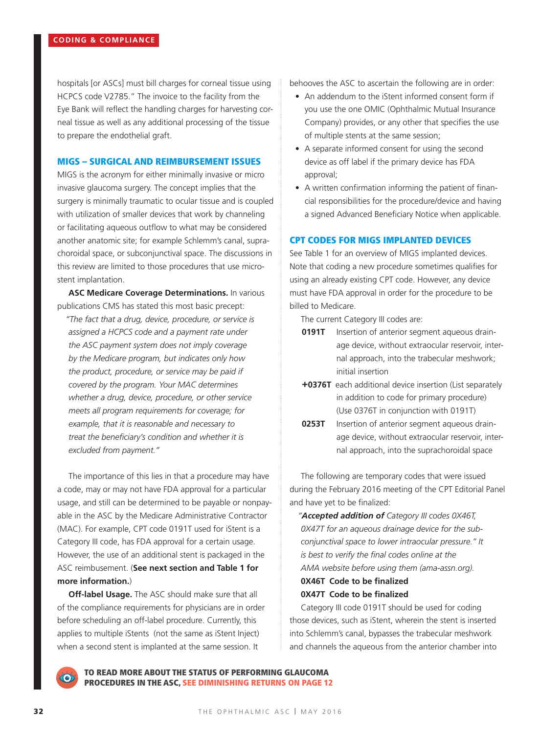hospitals [or ASCs] must bill charges for corneal tissue using HCPCS code V2785." The invoice to the facility from the Eye Bank will reflect the handling charges for harvesting corneal tissue as well as any additional processing of the tissue to prepare the endothelial graft.

#### MIGS – SURGICAL AND REIMBURSEMENT ISSUES

MIGS is the acronym for either minimally invasive or micro invasive glaucoma surgery. The concept implies that the surgery is minimally traumatic to ocular tissue and is coupled with utilization of smaller devices that work by channeling or facilitating aqueous outflow to what may be considered another anatomic site; for example Schlemm's canal, suprachoroidal space, or subconjunctival space. The discussions in this review are limited to those procedures that use microstent implantation.

**ASC Medicare Coverage Determinations.** In various publications CMS has stated this most basic precept:

*"The fact that a drug, device, procedure, or service is assigned a HCPCS code and a payment rate under the ASC payment system does not imply coverage by the Medicare program, but indicates only how the product, procedure, or service may be paid if covered by the program. Your MAC determines whether a drug, device, procedure, or other service meets all program requirements for coverage; for example, that it is reasonable and necessary to treat the beneficiary's condition and whether it is excluded from payment."* 

The importance of this lies in that a procedure may have a code, may or may not have FDA approval for a particular usage, and still can be determined to be payable or nonpayable in the ASC by the Medicare Administrative Contractor (MAC). For example, CPT code 0191T used for iStent is a Category III code, has FDA approval for a certain usage. However, the use of an additional stent is packaged in the ASC reimbusement. (**See next section and Table 1 for more information.**)

**Off-label Usage.** The ASC should make sure that all of the compliance requirements for physicians are in order before scheduling an off-label procedure. Currently, this applies to multiple iStents (not the same as iStent Inject) when a second stent is implanted at the same session. It

behooves the ASC to ascertain the following are in order:

- An addendum to the iStent informed consent form if you use the one OMIC (Ophthalmic Mutual Insurance Company) provides, or any other that specifies the use of multiple stents at the same session;
- A separate informed consent for using the second device as off label if the primary device has FDA approval;
- A written confirmation informing the patient of financial responsibilities for the procedure/device and having a signed Advanced Beneficiary Notice when applicable.

### CPT CODES FOR MIGS IMPLANTED DEVICES

See Table 1 for an overview of MIGS implanted devices. Note that coding a new procedure sometimes qualifies for using an already existing CPT code. However, any device must have FDA approval in order for the procedure to be billed to Medicare.

The current Category III codes are:

- **0191T** Insertion of anterior segment aqueous drainage device, without extraocular reservoir, internal approach, into the trabecular meshwork; initial insertion
- **+0376T** each additional device insertion (List separately in addition to code for primary procedure) (Use 0376T in conjunction with 0191T)
- **0253T** Insertion of anterior segment aqueous drainage device, without extraocular reservoir, internal approach, into the suprachoroidal space

The following are temporary codes that were issued during the February 2016 meeting of the CPT Editorial Panel and have yet to be finalized:

*"Accepted addition of Category III codes 0X46T, 0X47T for an aqueous drainage device for the subconjunctival space to lower intraocular pressure." It is best to verify the final codes online at the AMA website before using them (ama-assn.org).*

## **0X46T Code to be finalized 0X47T Code to be finalized**

Category III code 0191T should be used for coding those devices, such as iStent, wherein the stent is inserted into Schlemm's canal, bypasses the trabecular meshwork and channels the aqueous from the anterior chamber into



TO READ MORE ABOUT THE STATUS OF PERFORMING GLAUCOMA PROCEDURES IN THE ASC, SEE DIMINISHING RETURNS ON PAGE 12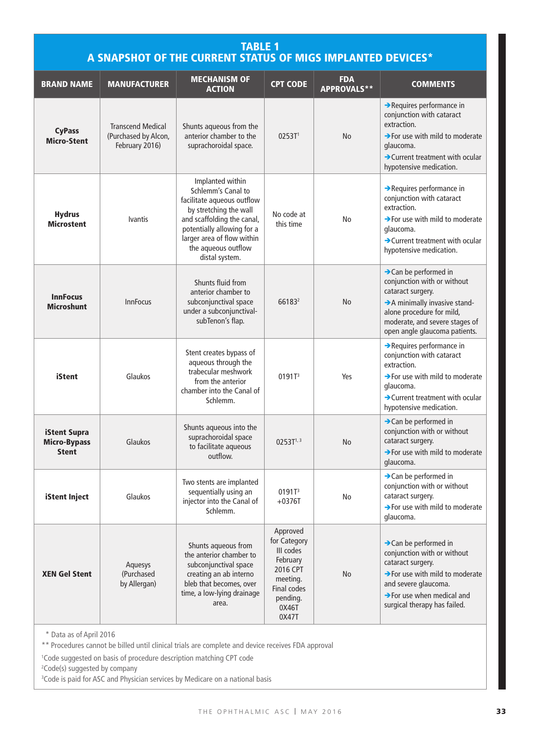# TABLE 1 A SNAPSHOT OF THE CURRENT STATUS OF MIGS IMPLANTED DEVICES\*

| <b>BRAND NAME</b>                                   | <b>MANUFACTURER</b>                                                | <b>MECHANISM OF</b><br><b>ACTION</b>                                                                                                                                                                                              | <b>CPT CODE</b>                                                                                                        | <b>FDA</b><br><b>APPROVALS**</b> | <b>COMMENTS</b>                                                                                                                                                                                                                        |
|-----------------------------------------------------|--------------------------------------------------------------------|-----------------------------------------------------------------------------------------------------------------------------------------------------------------------------------------------------------------------------------|------------------------------------------------------------------------------------------------------------------------|----------------------------------|----------------------------------------------------------------------------------------------------------------------------------------------------------------------------------------------------------------------------------------|
| <b>CyPass</b><br><b>Micro-Stent</b>                 | <b>Transcend Medical</b><br>(Purchased by Alcon,<br>February 2016) | Shunts aqueous from the<br>anterior chamber to the<br>suprachoroidal space.                                                                                                                                                       | 0253T <sup>1</sup>                                                                                                     | No                               | Requires performance in<br>conjunction with cataract<br>extraction.<br>$\rightarrow$ For use with mild to moderate<br>glaucoma.<br>$\rightarrow$ Current treatment with ocular<br>hypotensive medication.                              |
| <b>Hydrus</b><br><b>Microstent</b>                  | <b>Ivantis</b>                                                     | Implanted within<br>Schlemm's Canal to<br>facilitate aqueous outflow<br>by stretching the wall<br>and scaffolding the canal,<br>potentially allowing for a<br>larger area of flow within<br>the aqueous outflow<br>distal system. | No code at<br>this time                                                                                                | No                               | Requires performance in<br>conjunction with cataract<br>extraction.<br>$\rightarrow$ For use with mild to moderate<br>glaucoma.<br>$\rightarrow$ Current treatment with ocular<br>hypotensive medication.                              |
| <b>InnFocus</b><br><b>Microshunt</b>                | <b>InnFocus</b>                                                    | Shunts fluid from<br>anterior chamber to<br>subconjunctival space<br>under a subconjunctival-<br>subTenon's flap.                                                                                                                 | 661832                                                                                                                 | <b>No</b>                        | > Can be performed in<br>conjunction with or without<br>cataract surgery.<br>A minimally invasive stand-<br>alone procedure for mild,<br>moderate, and severe stages of<br>open angle glaucoma patients.                               |
| <b>iStent</b>                                       | Glaukos                                                            | Stent creates bypass of<br>aqueous through the<br>trabecular meshwork<br>from the anterior<br>chamber into the Canal of<br>Schlemm.                                                                                               | 0191T <sup>3</sup>                                                                                                     | Yes                              | Requires performance in<br>conjunction with cataract<br>extraction.<br>$\rightarrow$ For use with mild to moderate<br>glaucoma.<br>$\rightarrow$ Current treatment with ocular<br>hypotensive medication.                              |
| iStent Supra<br><b>Micro-Bypass</b><br><b>Stent</b> | Glaukos                                                            | Shunts aqueous into the<br>suprachoroidal space<br>to facilitate aqueous<br>outflow.                                                                                                                                              | $0253T^{1,3}$                                                                                                          | No                               | $\rightarrow$ Can be performed in<br>conjunction with or without<br>cataract surgery.<br>$\rightarrow$ For use with mild to moderate<br>glaucoma.                                                                                      |
| iStent Inject                                       | Glaukos                                                            | Two stents are implanted<br>sequentially using an<br>injector into the Canal of<br>Schlemm.                                                                                                                                       | 0191T <sup>3</sup><br>$+0376T$                                                                                         | No                               | >Can be performed in<br>conjunction with or without<br>cataract surgery.<br>$\rightarrow$ For use with mild to moderate<br>glaucoma.                                                                                                   |
| <b>XEN Gel Stent</b>                                | Aquesys<br>(Purchased<br>by Allergan)                              | Shunts aqueous from<br>the anterior chamber to<br>subconjunctival space<br>creating an ab interno<br>bleb that becomes, over<br>time, a low-lying drainage<br>area.                                                               | Approved<br>for Category<br>III codes<br>February<br>2016 CPT<br>meeting.<br>Final codes<br>pending.<br>0X46T<br>0X47T | No                               | $\rightarrow$ Can be performed in<br>conjunction with or without<br>cataract surgery.<br>$\rightarrow$ For use with mild to moderate<br>and severe glaucoma.<br>$\rightarrow$ For use when medical and<br>surgical therapy has failed. |

\*\* Data as of April 2016

\*\* Procedures cannot be billed until clinical trials are complete and device receives FDA approval

1 Code suggested on basis of procedure description matching CPT code

2 Code(s) suggested by company

<sup>3</sup>Code is paid for ASC and Physician services by Medicare on a national basis